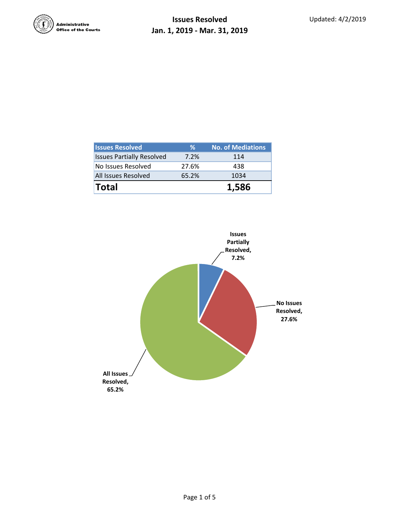

| <b>Issues Resolved</b>           | ℅     | <b>No. of Mediations</b> |  |  |
|----------------------------------|-------|--------------------------|--|--|
| <b>Issues Partially Resolved</b> | 7.2%  | 114                      |  |  |
| No Issues Resolved               | 27.6% | 438                      |  |  |
| <b>All Issues Resolved</b>       | 65.2% | 1034                     |  |  |
| <b>Total</b>                     |       | 1,586                    |  |  |

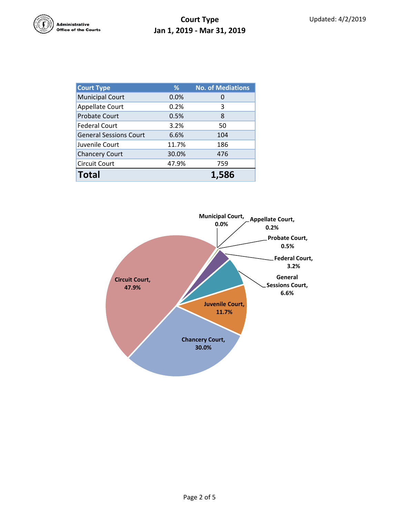

## **Court Type Jan 1, 2019 - Mar 31, 2019**

| <b>Court Type</b>             | %     | <b>No. of Mediations</b> |  |  |
|-------------------------------|-------|--------------------------|--|--|
| <b>Municipal Court</b>        | 0.0%  | O                        |  |  |
| <b>Appellate Court</b>        | 0.2%  | 3                        |  |  |
| <b>Probate Court</b>          | 0.5%  | 8                        |  |  |
| <b>Federal Court</b>          | 3.2%  | 50                       |  |  |
| <b>General Sessions Court</b> | 6.6%  | 104                      |  |  |
| Juvenile Court                | 11.7% | 186                      |  |  |
| <b>Chancery Court</b>         | 30.0% | 476                      |  |  |
| <b>Circuit Court</b>          | 47.9% | 759                      |  |  |
| <b>Total</b>                  |       | 1.586                    |  |  |

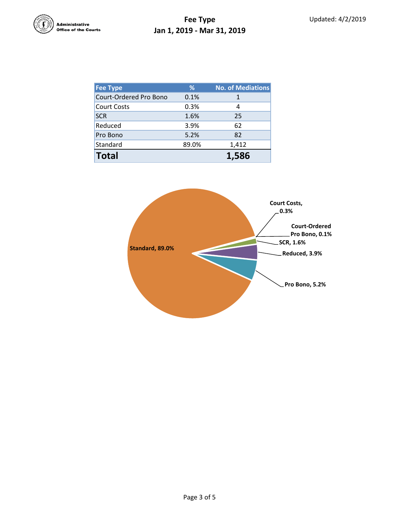

## **Fee Type Jan 1, 2019 - Mar 31, 2019**

| Fee Type               | %     | <b>No. of Mediations</b> |
|------------------------|-------|--------------------------|
| Court-Ordered Pro Bono | 0.1%  | 1                        |
| <b>Court Costs</b>     | 0.3%  | 4                        |
| <b>SCR</b>             | 1.6%  | 25                       |
| Reduced                | 3.9%  | 62                       |
| Pro Bono               | 5.2%  | 82                       |
| Standard               | 89.0% | 1,412                    |
| <b>Total</b>           |       | 1.586                    |

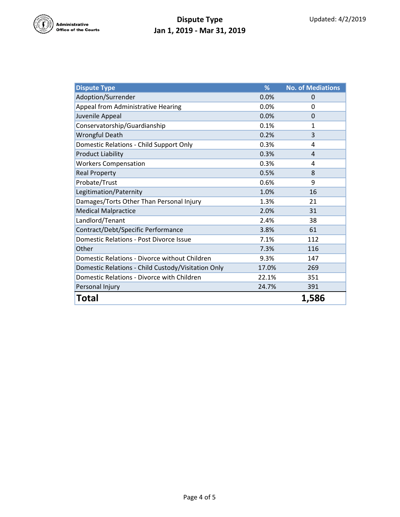

## **Dispute Type Jan 1, 2019 - Mar 31, 2019**

| <b>Dispute Type</b>                                | %     | <b>No. of Mediations</b> |
|----------------------------------------------------|-------|--------------------------|
| Adoption/Surrender                                 | 0.0%  | 0                        |
| Appeal from Administrative Hearing                 | 0.0%  | 0                        |
| Juvenile Appeal                                    | 0.0%  | $\Omega$                 |
| Conservatorship/Guardianship                       | 0.1%  | 1                        |
| <b>Wrongful Death</b>                              | 0.2%  | 3                        |
| Domestic Relations - Child Support Only            | 0.3%  | 4                        |
| <b>Product Liability</b>                           | 0.3%  | 4                        |
| <b>Workers Compensation</b>                        | 0.3%  | 4                        |
| <b>Real Property</b>                               | 0.5%  | 8                        |
| Probate/Trust                                      | 0.6%  | 9                        |
| Legitimation/Paternity                             | 1.0%  | 16                       |
| Damages/Torts Other Than Personal Injury           | 1.3%  | 21                       |
| <b>Medical Malpractice</b>                         | 2.0%  | 31                       |
| Landlord/Tenant                                    | 2.4%  | 38                       |
| Contract/Debt/Specific Performance                 | 3.8%  | 61                       |
| Domestic Relations - Post Divorce Issue            | 7.1%  | 112                      |
| Other                                              | 7.3%  | 116                      |
| Domestic Relations - Divorce without Children      | 9.3%  | 147                      |
| Domestic Relations - Child Custody/Visitation Only | 17.0% | 269                      |
| Domestic Relations - Divorce with Children         | 22.1% | 351                      |
| Personal Injury                                    | 24.7% | 391                      |
| Total                                              |       | 1,586                    |